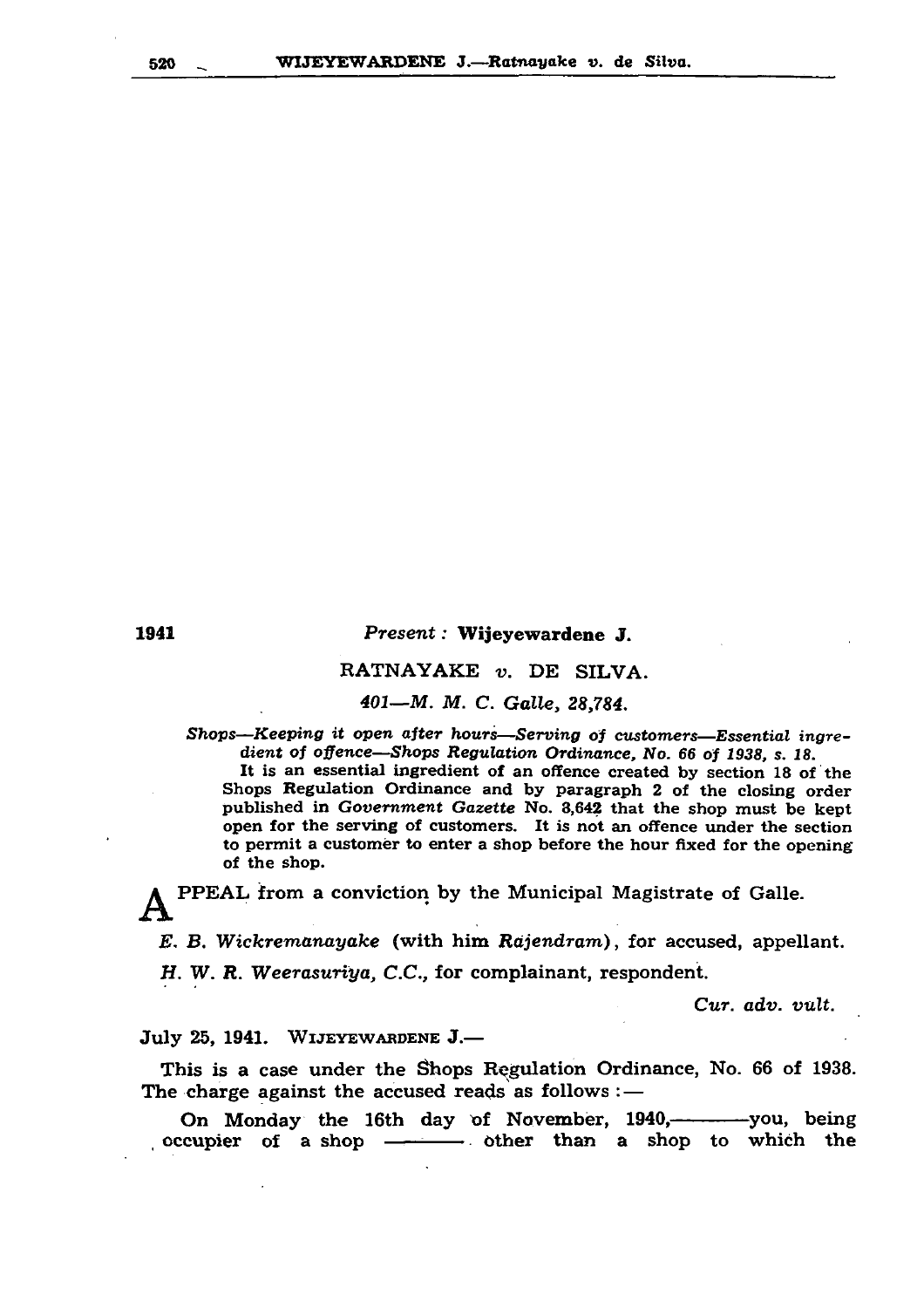#### 520 \_ WIJEYEWARDENE J.—Ratnayake ». de Silva.

# 1941 *P r e s e n t:* W ijeyewardene J. RATNAYAKE *v.* DE SILVA.

## *401— M . M . C. G alle, 28,784.*

Shops-Keeping it open after hours-Serving of customers-Essential ingredient of offence—Shops Regulation Ordinance, No. 66 of 1938, s. 18. It is an essential ingredient of an offence created by section 18 of the Shops Regulation Ordinance and by paragraph 2 of the closing order published in *Government Gazette* No. 3,642 that the shop must be kept open for the serving of customers. It is not an offence under the section to permit a customer to enter a shop before the hour fixed for the opening of the shop.

PPEAL from a conviction by the Municipal Magistrate of Galle. *E. B. Wickremanayake* (with him *Rajendram*), for accused, appellant. H. W. R. Weerasuriya, C.C., for complainant, respondent.

This is a case under the Shops Regulation Ordinance, No. 66 of 1938. The charge against the accused reads as follows  $:$   $-$ 

On Monday the 16th day of November, 1940,------------you, being occupier of a shop  $\longrightarrow$  other than a shop to which the

*Cur. adv. vuIt.*

July 25, 1941. Wijeyewardene J.—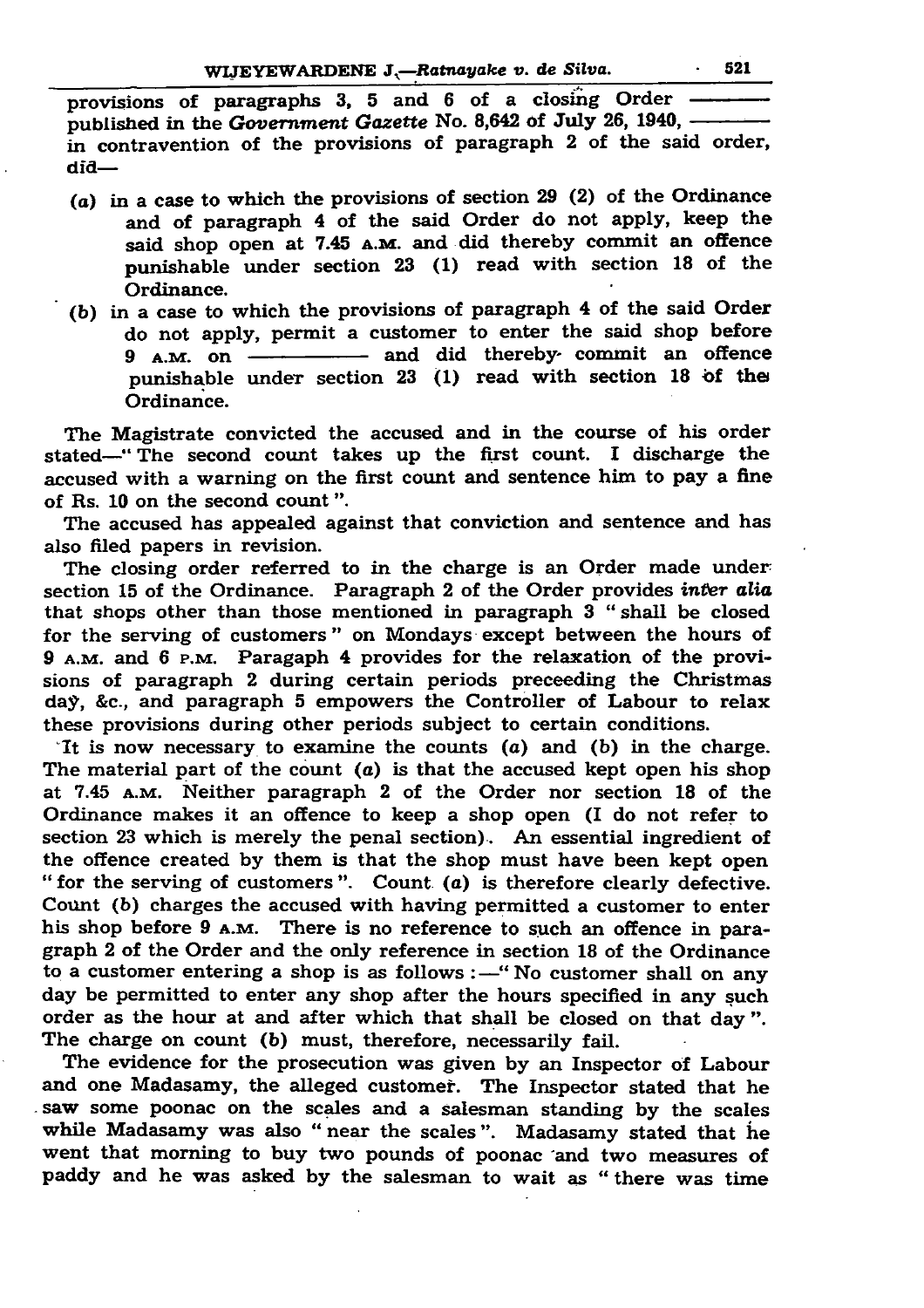## WLJEYEWARDENE *J.—Ratnayake v. de Silva.*\_\_\_\_\_\_\_ 521

provisions of paragraphs 3, 5 and 6 of a closing Order —— published in the *Government Gazette* No. 8,642 of July 26, 1940, -----in contravention of the provisions of paragraph 2 of the said order, did—

9 A.M. on ---------------- and did thereby- commit an offence punishable under section  $23$  (1) read with section 18 of the Ordinance.

The Magistrate convicted the accused and in the course of his order stated—" The second count takes up the first count. I discharge the accused with a warning on the first count and sentence him to pay a fine of Rs. 10 on the second count".

- *(a)* in a case to which the provisions of section 29 (2) of the Ordinance and of paragraph 4 of the said Order do not apply, keep the said shop open at 7.45 A.M. and did thereby commit an offence punishable under section  $23$  (1) read with section 18 of the Ordinance.
- (b) in a case to which the provisions of paragraph 4 of the said Order do not apply, permit a customer to enter the said shop before

The closing order referred to in the charge is an Order made under section 15 of the Ordinance. Paragraph 2 of the Order provides *inter alia* that shops other than those mentioned in paragraph 3 " shall be closed for the serving of customers" on Mondays except between the hours of 9 A.M. and 6 P.M. Paragaph 4 provides for the relaxation of the provisions of paragraph 2 during certain periods preceeding the Christmas day, &c., and paragraph 5 empowers the Controller of Labour to relax these provisions during other periods subject to certain conditions. It is now necessary to examine the counts  $(a)$  and  $(b)$  in the charge. The material part of the count  $(a)$  is that the accused kept open his shop at 7.45 A.M. Neither paragraph 2 of the Order nor section 18 of the Ordinance makes it an offence to keep a shop open (I do not refer to section 23 which is merely the penal section). An essential ingredient of the offence created by them is that the shop must have been kept open " for the serving of customers". Count  $(a)$  is therefore clearly defective. Count (b) charges the accused with having permitted a customer to enter his shop before 9 A.M. There is no reference to such an offence in paragraph 2 of the Order and the only reference in section 18 of the Ordinance to a customer entering a shop is as follows  $:$   $-$ " No customer shall on any day be permitted to enter any shop after the hours specified in any such order as the hour at and after which that shall be closed on that day". The charge on count (b) must, therefore, necessarily fail. The evidence for the prosecution was given by an Inspector of Labour and one Madasamy, the alleged customer. The Inspector stated that he saw some poonac on the scales and a Salesman standing by the scales while Madasamy was also "near the scales". Madasamy stated that he went that morning to buy two pounds of poonac and two measures of paddy and he was asked by the salesman to wait as "there was time

The accused has appealed against that conviction and sentence and has also filed papers in revision.